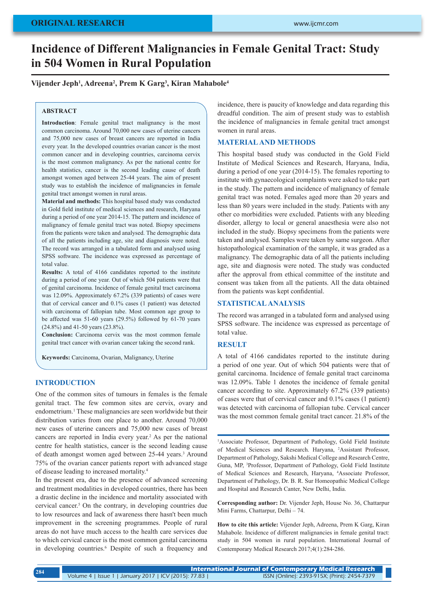# **Incidence of Different Malignancies in Female Genital Tract: Study in 504 Women in Rural Population**

**Vijender Jeph1 , Adreena2 , Prem K Garg3 , Kiran Mahabole4**

#### **ABSTRACT**

**Introduction**: Female genital tract malignancy is the most common carcinoma. Around 70,000 new cases of uterine cancers and 75,000 new cases of breast cancers are reported in India every year. In the developed countries ovarian cancer is the most common cancer and in developing countries, carcinoma cervix is the most common malignancy. As per the national centre for health statistics, cancer is the second leading cause of death amongst women aged between 25-44 years. The aim of present study was to establish the incidence of malignancies in female genital tract amongst women in rural areas.

**Material and methods:** This hospital based study was conducted in Gold field institute of medical sciences and research, Haryana during a period of one year 2014-15. The pattern and incidence of malignancy of female genital tract was noted. Biopsy specimens from the patients were taken and analysed. The demographic data of all the patients including age, site and diagnosis were noted. The record was arranged in a tabulated form and analysed using SPSS software. The incidence was expressed as percentage of total value.

**Results:** A total of 4166 candidates reported to the institute during a period of one year. Out of which 504 patients were that of genital carcinoma. Incidence of female genital tract carcinoma was 12.09%. Approximately 67.2% (339 patients) of cases were that of cervical cancer and 0.1% cases (1 patient) was detected with carcinoma of fallopian tube. Most common age group to be affected was 51-60 years (29.5%) followed by 61-70 years (24.8%) and 41-50 years (23.8%).

**Conclusion:** Carcinoma cervix was the most common female genital tract cancer with ovarian cancer taking the second rank.

**Keywords:** Carcinoma, Ovarian, Malignancy, Uterine

# **INTRODUCTION**

One of the common sites of tumours in females is the female genital tract. The few common sites are cervix, ovary and endometrium.<sup>1</sup> These malignancies are seen worldwide but their distribution varies from one place to another. Around 70,000 new cases of uterine cancers and 75,000 new cases of breast cancers are reported in India every year.2 As per the national centre for health statistics, cancer is the second leading cause of death amongst women aged between 25-44 years.<sup>3</sup> Around 75% of the ovarian cancer patients report with advanced stage of disease leading to increased mortality.4

In the present era, due to the presence of advanced screening and treatment modalities in developed countries, there has been a drastic decline in the incidence and mortality associated with cervical cancer.5 On the contrary, in developing countries due to low resources and lack of awareness there hasn't been much improvement in the screening programmes. People of rural areas do not have much access to the health care services due to which cervical cancer is the most common genital carcinoma in developing countries.<sup>6</sup> Despite of such a frequency and incidence, there is paucity of knowledge and data regarding this dreadful condition. The aim of present study was to establish the incidence of malignancies in female genital tract amongst women in rural areas.

# **MATERIAL AND METHODS**

This hospital based study was conducted in the Gold Field Institute of Medical Sciences and Research, Haryana, India, during a period of one year (2014-15). The females reporting to institute with gynaecological complaints were asked to take part in the study. The pattern and incidence of malignancy of female genital tract was noted. Females aged more than 20 years and less than 80 years were included in the study. Patients with any other co morbidities were excluded. Patients with any bleeding disorder, allergy to local or general anaesthesia were also not included in the study. Biopsy specimens from the patients were taken and analysed. Samples were taken by same surgeon. After histopathological examination of the sample, it was graded as a malignancy. The demographic data of all the patients including age, site and diagnosis were noted. The study was conducted after the approval from ethical committee of the institute and consent was taken from all the patients. All the data obtained from the patients was kept confidential.

#### **STATISTICAL ANALYSIS**

The record was arranged in a tabulated form and analysed using SPSS software. The incidence was expressed as percentage of total value.

#### **RESULT**

A total of 4166 candidates reported to the institute during a period of one year. Out of which 504 patients were that of genital carcinoma. Incidence of female genital tract carcinoma was 12.09%. Table 1 denotes the incidence of female genital cancer according to site. Approximately 67.2% (339 patients) of cases were that of cervical cancer and 0.1% cases (1 patient) was detected with carcinoma of fallopian tube. Cervical cancer was the most common female genital tract cancer. 21.8% of the

<sup>1</sup>Associate Professor, Department of Pathology, Gold Field Institute of Medical Sciences and Research. Haryana, <sup>2</sup> Assistant Professor, Department of Pathology, Sakshi Medical College and Research Centre, Guna, MP, 3 Professor, Department of Pathology, Gold Field Institute of Medical Sciences and Research, Haryana, <sup>4</sup> Associate Professor, Department of Pathology, Dr. B. R. Sur Homeopathic Medical College and Hospital and Research Canter, New Delhi, India.

**Corresponding author:** Dr. Vijender Jeph, House No. 36, Chattarpur Mini Farms, Chattarpur, Delhi – 74.

**How to cite this article:** Vijender Jeph, Adreena, Prem K Garg, Kiran Mahabole. Incidence of different malignancies in female genital tract: study in 504 women in rural population. International Journal of Contemporary Medical Research 2017;4(1):284-286.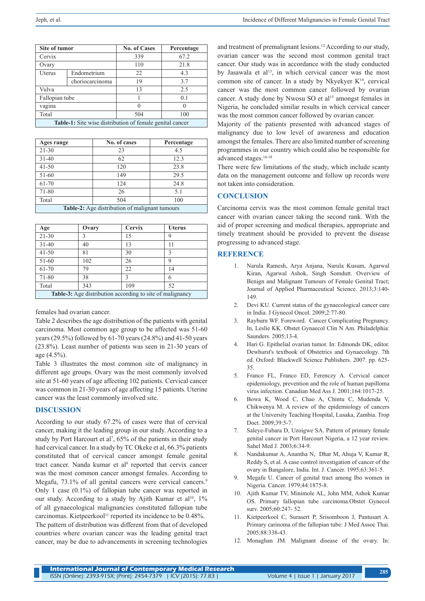| Site of tumor                                                   |                 | <b>No. of Cases</b> | Percentage |  |
|-----------------------------------------------------------------|-----------------|---------------------|------------|--|
| Cervix                                                          |                 | 339                 | 67.2       |  |
| Ovary                                                           |                 | 110                 | 21.8       |  |
| Uterus                                                          | Endometrium     | 22                  | 4.3        |  |
|                                                                 | choriocarcinoma | 19                  | 3.7        |  |
| Vulva                                                           |                 | 13                  | 2.5        |  |
| Fallopian tube                                                  |                 |                     | 0.1        |  |
| vagina                                                          |                 | ∩                   |            |  |
| Total                                                           |                 | 504                 | 100        |  |
| <b>Table-1:</b> Site wise distribution of female genital cancer |                 |                     |            |  |

| Ages range                                            | No. of cases | Percentage |  |  |
|-------------------------------------------------------|--------------|------------|--|--|
| $21 - 30$                                             | 23           | 4.5        |  |  |
| $31 - 40$                                             | 62           | 12.3       |  |  |
| $41 - 50$                                             | 120          | 23.8       |  |  |
| $51-60$                                               | 149          | 29.5       |  |  |
| 61-70                                                 | 124          | 24.8       |  |  |
| 71-80                                                 | 26           | 5.1        |  |  |
| Total                                                 | 504          | 100        |  |  |
| <b>Table-2:</b> Age distribution of malignant tumours |              |            |  |  |

| Age                                                              | Ovary | <b>Cervix</b> | <b>Uterus</b> |  |  |
|------------------------------------------------------------------|-------|---------------|---------------|--|--|
| $21 - 30$                                                        | 3     | 15            | 9             |  |  |
| $31 - 40$                                                        | 40    | 13            | 11            |  |  |
| $41 - 50$                                                        | 81    | 30            | 3             |  |  |
| $51 - 60$                                                        | 102   | 26            | 9             |  |  |
| 61-70                                                            | 79    | 22            | 14            |  |  |
| 71-80                                                            | 38    | ζ             | 6             |  |  |
| Total                                                            | 343   | 109           | 52            |  |  |
| <b>Table-3:</b> Age distribution according to site of malignancy |       |               |               |  |  |

females had ovarian cancer.

Table 2 describes the age distribution of the patients with genital carcinoma. Most common age group to be affected was 51-60 years (29.5%) followed by 61-70 years (24.8%) and 41-50 years (23.8%). Least number of patients was seen in 21-30 years of age (4.5%).

Table 3 illustrates the most common site of malignancy in different age groups. Ovary was the most commonly involved site at 51-60 years of age affecting 102 patients. Cervical cancer was common in 21-30 years of age affecting 15 patients. Uterine cancer was the least commonly involved site.

# **DISCUSSION**

According to our study 67.2% of cases were that of cervical cancer, making it the leading group in our study. According to a study by Port Harcourt et al<sup>7</sup>,  $65\%$  of the patients in their study had cervical cancer. In a study by TC Okeke et al, 66.3% patients constituted that of cervical cancer amongst female genital tract cancer. Nanda kumar et al<sup>8</sup> reported that cervix cancer was the most common cancer amongst females. According to Megafu, 73.1% of all genital cancers were cervical cancers.<sup>9</sup> Only 1 case (0.1%) of fallopian tube cancer was reported in our study. According to a study by Ajith Kumar et al<sup>10</sup>,  $1\%$ of all gynaecological malignancies constituted fallopian tube carcinomas. Kietpeerkool<sup>11</sup> reported its incidence to be 0.48%. The pattern of distribution was different from that of developed countries where ovarian cancer was the leading genital tract cancer, may be due to advancements in screening technologies

and treatment of premalignant lesions.12 According to our study, ovarian cancer was the second most common genital tract cancer. Our study was in accordance with the study conducted by Jasawala et al<sup>13</sup>, in which cervical cancer was the most common site of cancer. In a study by Nkyekyer  $K^{14}$ , cervical cancer was the most common cancer followed by ovarian cancer. A study done by Nwosu SO et al<sup>15</sup> amongst females in Nigeria, he concluded similar results in which cervical cancer was the most common cancer followed by ovarian cancer.

Majority of the patients presented with advanced stages of malignancy due to low level of awareness and education amongst the females. There are also limited number of screening programmes in our country which could also be responsible for advanced stages.16-18

There were few limitations of the study, which include scanty data on the management outcome and follow up records were not taken into consideration.

# **CONCLUSION**

Carcinoma cervix was the most common female genital tract cancer with ovarian cancer taking the second rank. With the aid of proper screening and medical therapies, appropriate and timely treatment should be provided to prevent the disease progressing to advanced stage.

# **REFERENCE**

- 1. Narula Ramesh, Arya Anjana, Narula Kusum, Agarwal Kiran, Agarwal Ashok, Singh Somdutt. Overview of Benign and Malignant Tumours of Female Genital Tract; Journal of Applied Pharmaceutical Science. 2013;3:140- 149.
- 2. Devi KU. Current status of the gynaecological cancer care in India. J Gynecol Oncol. 2009;2:77-80.
- 3. Rayburn WF. Foreword. Cancer Complicating Pregnancy. In, Leslie KK. Obstet Gynaecol Clin N Am. Philadelphia: Saunders. 2005;13-4.
- 4. Hari G. Epithelial ovarian tumor. In: Edmonds DK, editor. Dewhurst's textbook of Obstetrics and Gynaecology. 7th ed. Oxford: Blackwell Science Publishers. 2007. pp. 625- 35.
- 5. Franco FL, Franco ED, Ferenczy A. Cervical cancer epidemiology, prevention and the role of human papilloma virus infection. Canadian Med Ass J. 2001;164:1017-25.
- 6. Bowa K, Wood C, Chao A, Chintu C, Mudenda V, Chikwenya M. A review of the epidemiology of cancers at the University Teaching Hospital, Lusaka, Zambia. Trop Doct. 2009;39:5-7.
- 7. Saleye-Fubara D, Uzoigwe SA. Pattern of primary female genital cancer in Port Harcourt Nigeria, a 12 year review. Sahel Med J. 2003;6:34-9.
- 8. Nandakumar A, Anantha N, Dhar M, Ahuja V, Kumar R, Reddy S, et al. A case control investigation of cancer of the ovary in Bangalore, India. Int. J. Cancer. 1995;63:361-5.
- 9. Megafu U. Cancer of genital tract among Ibo women in Nigeria. Cancer. 1979;44:1875-8.
- 10. Ajith Kumar TV, Minimole AL, John MM, Ashok Kumar OS. Primary fallopian tube carcinoma.Obstet Gynecol surv. 2005;60:247- 52.
- 11. Kietpeerkool C, Surasert P, Srisomboon J, Pantusart A. Primary carinoma of the fallopian tube: J Med Assoc Thai. 2005;88:338-43.
- 12. Monaghan JM. Malignant disease of the ovary. In: